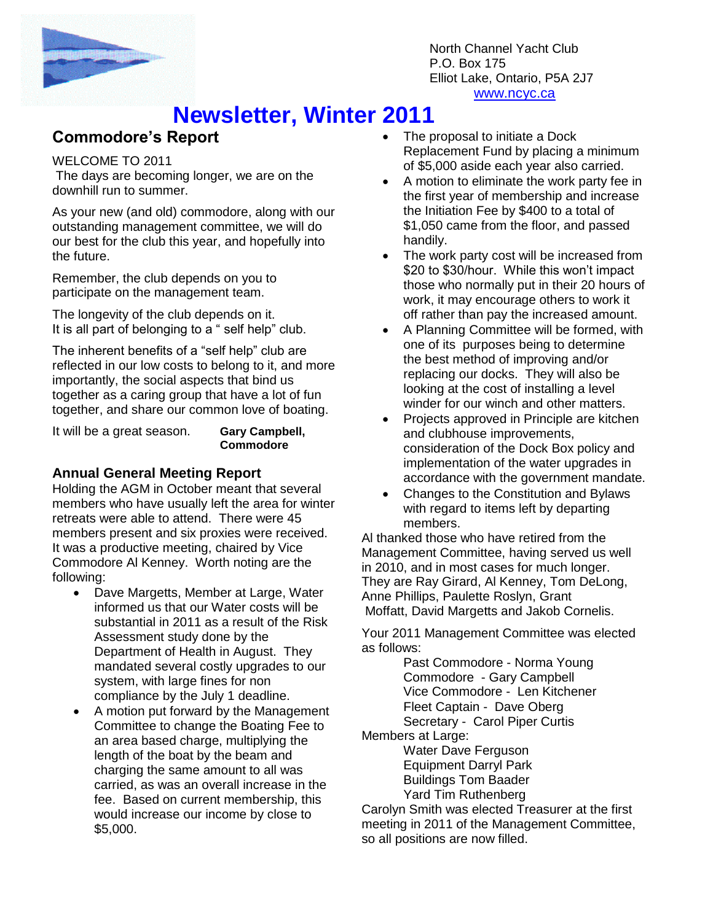

North Channel Yacht Club P.O. Box 175 Elliot Lake, Ontario, P5A 2J7 www.ncyc.ca

# **Newsletter, Winter 2011**

### **Commodore's Report**

#### WELCOME TO 2011

The days are becoming longer, we are on the downhill run to summer.

As your new (and old) commodore, along with our outstanding management committee, we will do our best for the club this year, and hopefully into the future.

Remember, the club depends on you to participate on the management team.

The longevity of the club depends on it. It is all part of belonging to a " self help" club.

The inherent benefits of a "self help" club are reflected in our low costs to belong to it, and more importantly, the social aspects that bind us together as a caring group that have a lot of fun together, and share our common love of boating.

It will be a great season. **Gary Campbell,** 

**Commodore**

#### **Annual General Meeting Report**

Holding the AGM in October meant that several members who have usually left the area for winter retreats were able to attend. There were 45 members present and six proxies were received. It was a productive meeting, chaired by Vice Commodore Al Kenney. Worth noting are the following:

- Dave Margetts, Member at Large, Water informed us that our Water costs will be substantial in 2011 as a result of the Risk Assessment study done by the Department of Health in August. They mandated several costly upgrades to our system, with large fines for non compliance by the July 1 deadline.
- A motion put forward by the Management Committee to change the Boating Fee to an area based charge, multiplying the length of the boat by the beam and charging the same amount to all was carried, as was an overall increase in the fee. Based on current membership, this would increase our income by close to \$5,000.
- The proposal to initiate a Dock Replacement Fund by placing a minimum of \$5,000 aside each year also carried.
- A motion to eliminate the work party fee in the first year of membership and increase the Initiation Fee by \$400 to a total of \$1,050 came from the floor, and passed handily.
- The work party cost will be increased from \$20 to \$30/hour. While this won't impact those who normally put in their 20 hours of work, it may encourage others to work it off rather than pay the increased amount.
- A Planning Committee will be formed, with one of its purposes being to determine the best method of improving and/or replacing our docks. They will also be looking at the cost of installing a level winder for our winch and other matters.
- Projects approved in Principle are kitchen and clubhouse improvements, consideration of the Dock Box policy and implementation of the water upgrades in accordance with the government mandate.
- Changes to the Constitution and Bylaws with regard to items left by departing members.

Al thanked those who have retired from the Management Committee, having served us well in 2010, and in most cases for much longer. They are Ray Girard, Al Kenney, Tom DeLong, Anne Phillips, Paulette Roslyn, Grant Moffatt, David Margetts and Jakob Cornelis.

Your 2011 Management Committee was elected as follows:

Past Commodore - Norma Young Commodore - Gary Campbell Vice Commodore - Len Kitchener Fleet Captain - Dave Oberg Secretary - Carol Piper Curtis

Members at Large:

Water Dave Ferguson Equipment Darryl Park Buildings Tom Baader Yard Tim Ruthenberg

Carolyn Smith was elected Treasurer at the first meeting in 2011 of the Management Committee, so all positions are now filled.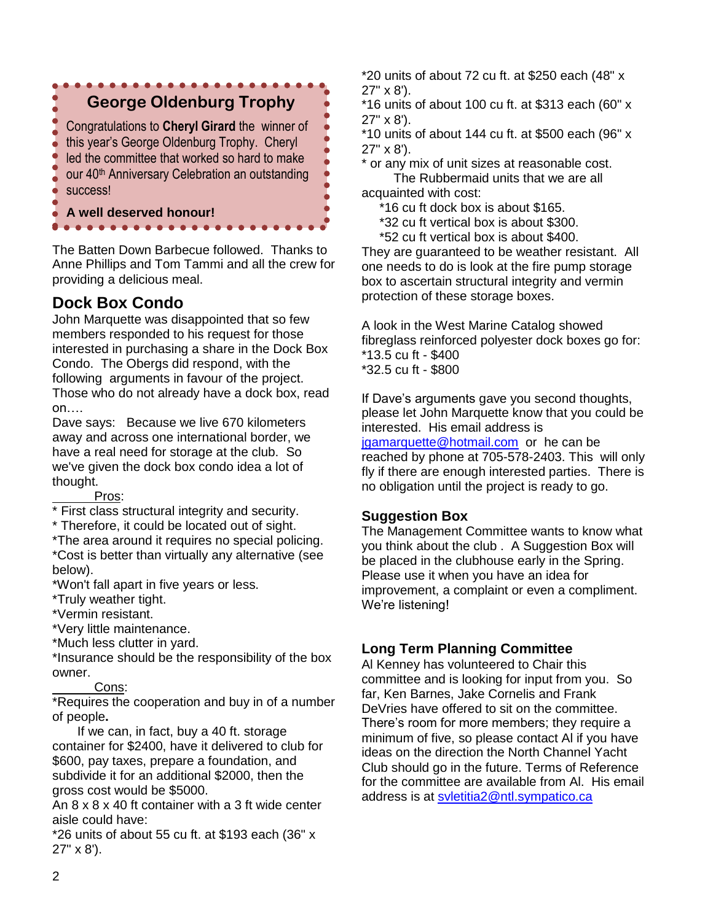

The Batten Down Barbecue followed. Thanks to Anne Phillips and Tom Tammi and all the crew for providing a delicious meal.

## **Dock Box Condo**

John Marquette was disappointed that so few members responded to his request for those interested in purchasing a share in the Dock Box Condo. The Obergs did respond, with the following arguments in favour of the project. Those who do not already have a dock box, read on….

Dave says: Because we live 670 kilometers away and across one international border, we have a real need for storage at the club. So we've given the dock box condo idea a lot of thought.

Pros:

\* First class structural integrity and security.

\* Therefore, it could be located out of sight.

\*The area around it requires no special policing. \*Cost is better than virtually any alternative (see below).

\*Won't fall apart in five years or less.

\*Truly weather tight.

\*Vermin resistant.

\*Very little maintenance.

\*Much less clutter in yard.

\*Insurance should be the responsibility of the box owner.

Cons:

\*Requires the cooperation and buy in of a number of people**.**

If we can, in fact, buy a 40 ft. storage container for \$2400, have it delivered to club for \$600, pay taxes, prepare a foundation, and subdivide it for an additional \$2000, then the gross cost would be \$5000.

An 8 x 8 x 40 ft container with a 3 ft wide center aisle could have:

 $*26$  units of about 55 cu ft. at \$193 each (36" x 27" x 8').

\*20 units of about 72 cu ft. at \$250 each (48" x 27" x 8').

\*16 units of about 100 cu ft. at \$313 each (60" x 27" x 8').

 $*10$  units of about 144 cu ft. at \$500 each (96" x 27" x 8').

\* or any mix of unit sizes at reasonable cost.

 The Rubbermaid units that we are all acquainted with cost:

\*16 cu ft dock box is about \$165.

\*32 cu ft vertical box is about \$300.

\*52 cu ft vertical box is about \$400.

They are guaranteed to be weather resistant. All one needs to do is look at the fire pump storage box to ascertain structural integrity and vermin protection of these storage boxes.

A look in the West Marine Catalog showed fibreglass reinforced polyester dock boxes go for: \*13.5 cu ft - \$400 \*32.5 cu ft - \$800

If Dave's arguments gave you second thoughts, please let John Marquette know that you could be interested. His email address is [jgamarquette@hotmail.com](mailto:jgamarquette@hotmail.com) or he can be reached by phone at 705-578-2403. This will only fly if there are enough interested parties. There is no obligation until the project is ready to go.

#### **Suggestion Box**

The Management Committee wants to know what you think about the club . A Suggestion Box will be placed in the clubhouse early in the Spring. Please use it when you have an idea for improvement, a complaint or even a compliment. We're listening!

#### **Long Term Planning Committee**

Al Kenney has volunteered to Chair this committee and is looking for input from you. So far, Ken Barnes, Jake Cornelis and Frank DeVries have offered to sit on the committee. There's room for more members; they require a minimum of five, so please contact Al if you have ideas on the direction the North Channel Yacht Club should go in the future. Terms of Reference for the committee are available from Al. His email address is at [svletitia2@ntl.sympatico.ca](mailto:svletitia2@ntl.sympatico.ca)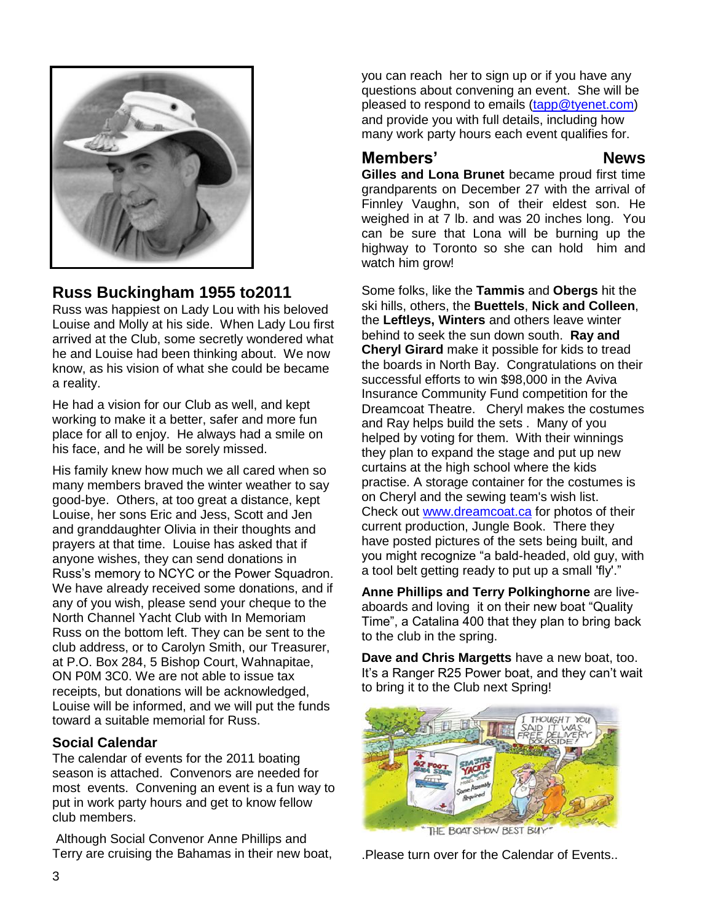

### **Russ Buckingham 1955 to2011**

Russ was happiest on Lady Lou with his beloved Louise and Molly at his side. When Lady Lou first arrived at the Club, some secretly wondered what he and Louise had been thinking about. We now know, as his vision of what she could be became a reality.

He had a vision for our Club as well, and kept working to make it a better, safer and more fun place for all to enjoy. He always had a smile on his face, and he will be sorely missed.

His family knew how much we all cared when so many members braved the winter weather to say good-bye. Others, at too great a distance, kept Louise, her sons Eric and Jess, Scott and Jen and granddaughter Olivia in their thoughts and prayers at that time. Louise has asked that if anyone wishes, they can send donations in Russ's memory to NCYC or the Power Squadron. We have already received some donations, and if any of you wish, please send your cheque to the North Channel Yacht Club with In Memoriam Russ on the bottom left. They can be sent to the club address, or to Carolyn Smith, our Treasurer, at P.O. Box 284, 5 Bishop Court, Wahnapitae, ON P0M 3C0. We are not able to issue tax receipts, but donations will be acknowledged, Louise will be informed, and we will put the funds toward a suitable memorial for Russ.

#### **Social Calendar**

The calendar of events for the 2011 boating season is attached. Convenors are needed for most events. Convening an event is a fun way to put in work party hours and get to know fellow club members.

Although Social Convenor Anne Phillips and Terry are cruising the Bahamas in their new boat, you can reach her to sign up or if you have any questions about convening an event. She will be pleased to respond to emails [\(tapp@tyenet.com\)](mailto:tapp@tyenet.com) and provide you with full details, including how many work party hours each event qualifies for.

## **Members' News**

**Gilles and Lona Brunet** became proud first time grandparents on December 27 with the arrival of Finnley Vaughn, son of their eldest son. He weighed in at 7 lb. and was 20 inches long.You can be sure that Lona will be burning up the highway to Toronto so she can hold him and watch him grow!

Some folks, like the **Tammis** and **Obergs** hit the ski hills, others, the **Buettels**, **Nick and Colleen**, the **Leftleys, Winters** and others leave winter behind to seek the sun down south. **Ray and Cheryl Girard** make it possible for kids to tread the boards in North Bay. Congratulations on their successful efforts to win \$98,000 in the Aviva Insurance Community Fund competition for the Dreamcoat Theatre. Cheryl makes the costumes and Ray helps build the sets . Many of you helped by voting for them. With their winnings they plan to expand the stage and put up new curtains at the high school where the kids practise. A storage container for the costumes is on Cheryl and the sewing team's wish list. Check out [www.dreamcoat.ca](http://www.dreamcoat.ca/) for photos of their current production, Jungle Book. There they have posted pictures of the sets being built, and you might recognize "a bald-headed, old guy, with a tool belt getting ready to put up a small 'fly'."

**Anne Phillips and Terry Polkinghorne** are liveaboards and loving it on their new boat "Quality Time", a Catalina 400 that they plan to bring back to the club in the spring.

**Dave and Chris Margetts** have a new boat, too. It's a Ranger R25 Power boat, and they can't wait to bring it to the Club next Spring!



.Please turn over for the Calendar of Events..